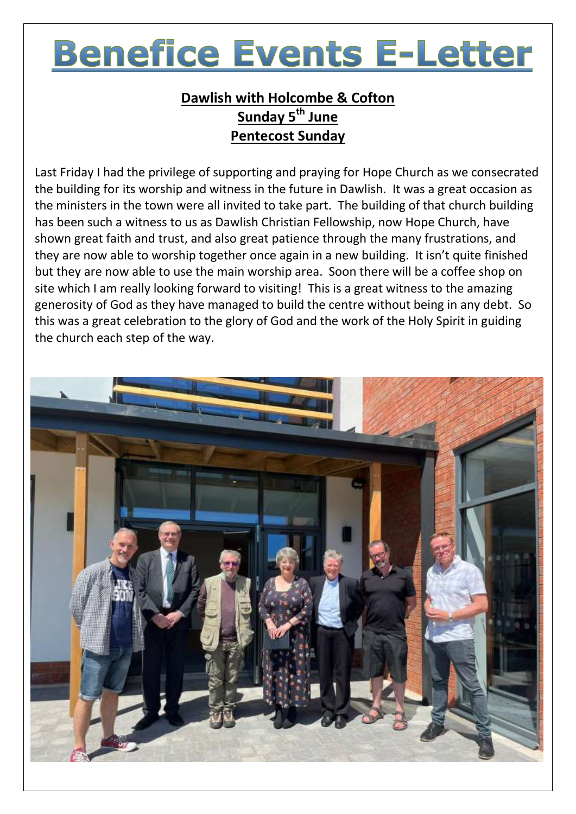# **Benefice Events E-Letter**

## **Dawlish with Holcombe & Cofton Sunday 5 th June Pentecost Sunday**

Last Friday I had the privilege of supporting and praying for Hope Church as we consecrated the building for its worship and witness in the future in Dawlish. It was a great occasion as the ministers in the town were all invited to take part. The building of that church building has been such a witness to us as Dawlish Christian Fellowship, now Hope Church, have shown great faith and trust, and also great patience through the many frustrations, and they are now able to worship together once again in a new building. It isn't quite finished but they are now able to use the main worship area. Soon there will be a coffee shop on site which I am really looking forward to visiting! This is a great witness to the amazing generosity of God as they have managed to build the centre without being in any debt. So this was a great celebration to the glory of God and the work of the Holy Spirit in guiding the church each step of the way.

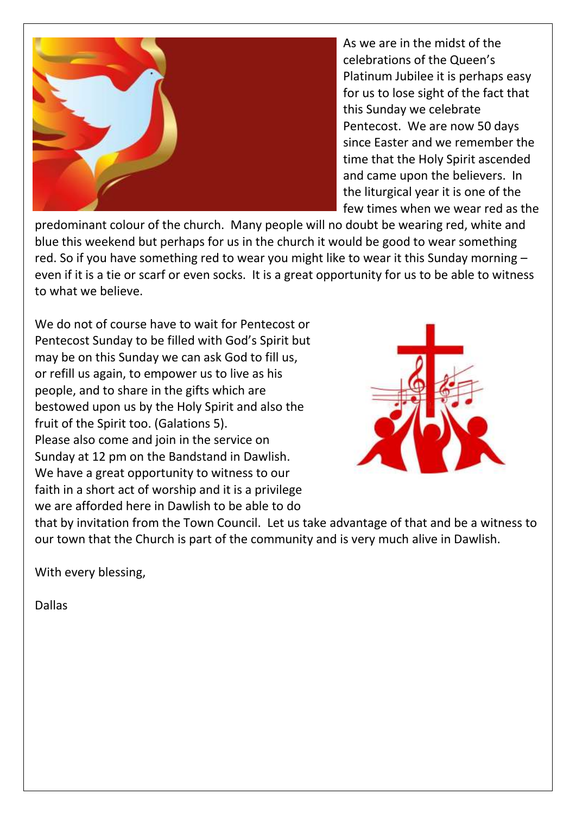

As we are in the midst of the celebrations of the Queen's Platinum Jubilee it is perhaps easy for us to lose sight of the fact that this Sunday we celebrate Pentecost. We are now 50 days since Easter and we remember the time that the Holy Spirit ascended and came upon the believers. In the liturgical year it is one of the few times when we wear red as the

predominant colour of the church. Many people will no doubt be wearing red, white and blue this weekend but perhaps for us in the church it would be good to wear something red. So if you have something red to wear you might like to wear it this Sunday morning – even if it is a tie or scarf or even socks. It is a great opportunity for us to be able to witness to what we believe.

We do not of course have to wait for Pentecost or Pentecost Sunday to be filled with God's Spirit but may be on this Sunday we can ask God to fill us, or refill us again, to empower us to live as his people, and to share in the gifts which are bestowed upon us by the Holy Spirit and also the fruit of the Spirit too. (Galations 5). Please also come and join in the service on Sunday at 12 pm on the Bandstand in Dawlish. We have a great opportunity to witness to our faith in a short act of worship and it is a privilege we are afforded here in Dawlish to be able to do



that by invitation from the Town Council. Let us take advantage of that and be a witness to our town that the Church is part of the community and is very much alive in Dawlish.

With every blessing,

Dallas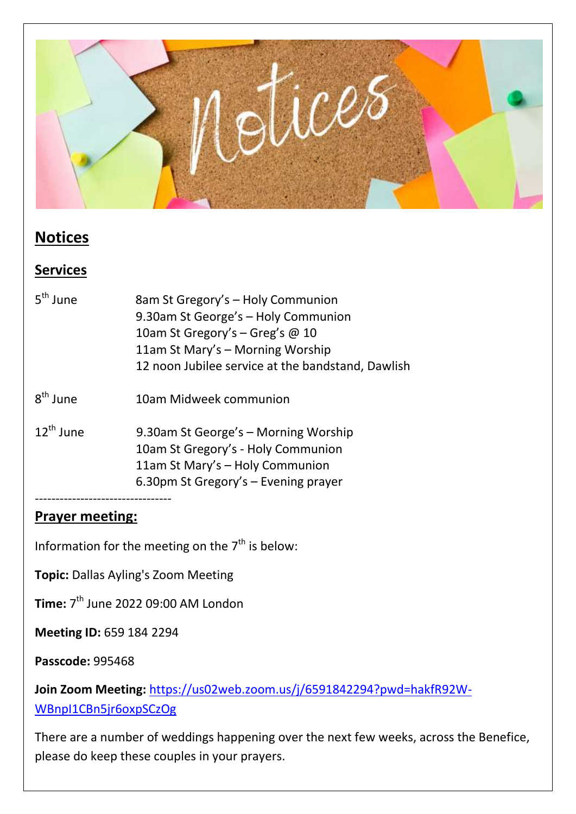

## **Notices**

#### **Services**

| $5th$ lune            | 8am St Gregory's - Holy Communion<br>9.30am St George's - Holy Communion<br>10am St Gregory's - Greg's @ 10<br>11am St Mary's - Morning Worship<br>12 noon Jubilee service at the bandstand, Dawlish |
|-----------------------|------------------------------------------------------------------------------------------------------------------------------------------------------------------------------------------------------|
| $R^{th}$ lune         | 10am Midweek communion                                                                                                                                                                               |
| $12^{\text{th}}$ lune | 9.30am St George's - Morning Worship<br>10am St Gregory's - Holy Communion<br>11am St Mary's - Holy Communion<br>6.30pm St Gregory's - Evening prayer                                                |
|                       |                                                                                                                                                                                                      |

#### **Prayer meeting:**

Information for the meeting on the  $7<sup>th</sup>$  is below:

**Topic:** Dallas Ayling's Zoom Meeting

**Time:** 7<sup>th</sup> June 2022 09:00 AM London

**Meeting ID:** 659 184 2294

**Passcode:** 995468

**Join Zoom Meeting:** [https://us02web.zoom.us/j/6591842294?pwd=hakfR92W-](https://us02web.zoom.us/j/6591842294?pwd=hakfR92W-WBnpI1CBn5jr6oxpSCzOg)[WBnpI1CBn5jr6oxpSCzOg](https://us02web.zoom.us/j/6591842294?pwd=hakfR92W-WBnpI1CBn5jr6oxpSCzOg)

There are a number of weddings happening over the next few weeks, across the Benefice, please do keep these couples in your prayers.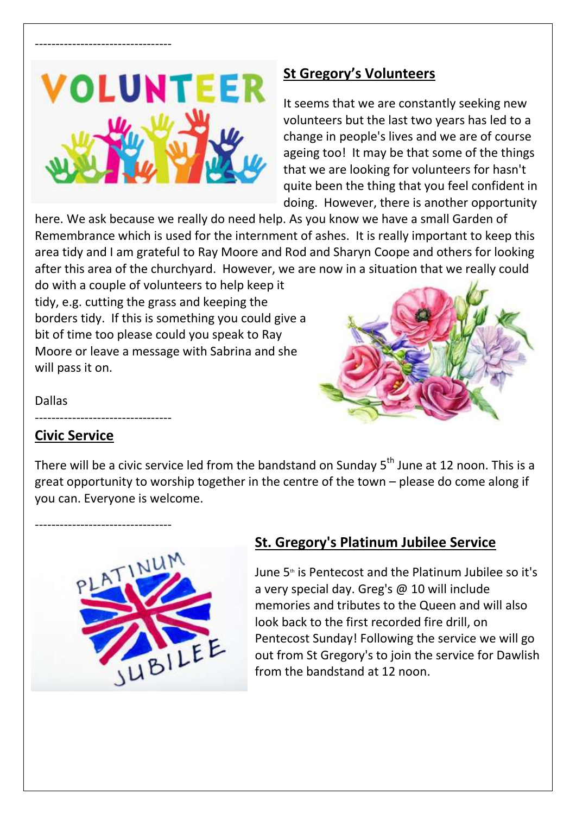

---------------------------------

#### **St Gregory's Volunteers**

It seems that we are constantly seeking new volunteers but the last two years has led to a change in people's lives and we are of course ageing too! It may be that some of the things that we are looking for volunteers for hasn't quite been the thing that you feel confident in doing. However, there is another opportunity

here. We ask because we really do need help. As you know we have a small Garden of Remembrance which is used for the internment of ashes. It is really important to keep this area tidy and I am grateful to Ray Moore and Rod and Sharyn Coope and others for looking after this area of the churchyard. However, we are now in a situation that we really could

do with a couple of volunteers to help keep it tidy, e.g. cutting the grass and keeping the borders tidy. If this is something you could give a bit of time too please could you speak to Ray Moore or leave a message with Sabrina and she will pass it on.



Dallas

#### **Civic Service**

---------------------------------

---------------------------------

There will be a civic service led from the bandstand on Sunday 5<sup>th</sup> June at 12 noon. This is a great opportunity to worship together in the centre of the town – please do come along if you can. Everyone is welcome.



### **St. Gregory's Platinum Jubilee Service**

June 5<sup>th</sup> is Pentecost and the Platinum Jubilee so it's a very special day. Greg's @ 10 will include memories and tributes to the Queen and will also look back to the first recorded fire drill, on Pentecost Sunday! Following the service we will go out from St Gregory's to join the service for Dawlish from the bandstand at 12 noon.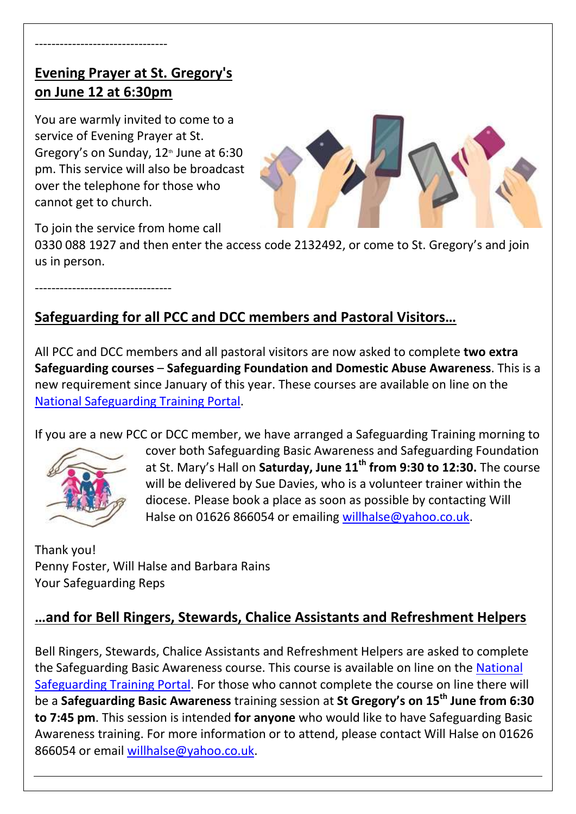### **Evening Prayer at St. Gregory's on June 12 at 6:30pm**

You are warmly invited to come to a service of Evening Prayer at St. Gregory's on Sunday,  $12<sup>th</sup>$  June at 6:30 pm. This service will also be broadcast over the telephone for those who cannot get to church.



To join the service from home call

0330 088 1927 and then enter the access code 2132492, or come to St. Gregory's and join us in person.

---------------------------------

# **Safeguarding for all PCC and DCC members and Pastoral Visitors…**

All PCC and DCC members and all pastoral visitors are now asked to complete **two extra Safeguarding courses** – **Safeguarding Foundation and Domestic Abuse Awareness**. This is a new requirement since January of this year. These courses are available on line on the [National Safeguarding Training Portal.](https://safeguardingtraining.cofeportal.org/)

If you are a new PCC or DCC member, we have arranged a Safeguarding Training morning to



cover both Safeguarding Basic Awareness and Safeguarding Foundation at St. Mary's Hall on **Saturday, June 11th from 9:30 to 12:30.** The course will be delivered by Sue Davies, who is a volunteer trainer within the diocese. Please book a place as soon as possible by contacting Will Halse on 01626 866054 or emailing [willhalse@yahoo.co.uk.](mailto:willhalse@yahoo.co.uk)

Thank you! Penny Foster, Will Halse and Barbara Rains Your Safeguarding Reps

### **…and for Bell Ringers, Stewards, Chalice Assistants and Refreshment Helpers**

Bell Ringers, Stewards, Chalice Assistants and Refreshment Helpers are asked to complete the Safeguarding Basic Awareness course. This course is available on line on the National [Safeguarding Training Portal.](https://safeguardingtraining.cofeportal.org/) For those who cannot complete the course on line there will be a **Safeguarding Basic Awareness** training session at **St Gregory's on 15th June from 6:30 to 7:45 pm**. This session is intended **for anyone** who would like to have Safeguarding Basic Awareness training. For more information or to attend, please contact Will Halse on 01626 866054 or email [willhalse@yahoo.co.uk.](mailto:willhalse@yahoo.co.uk)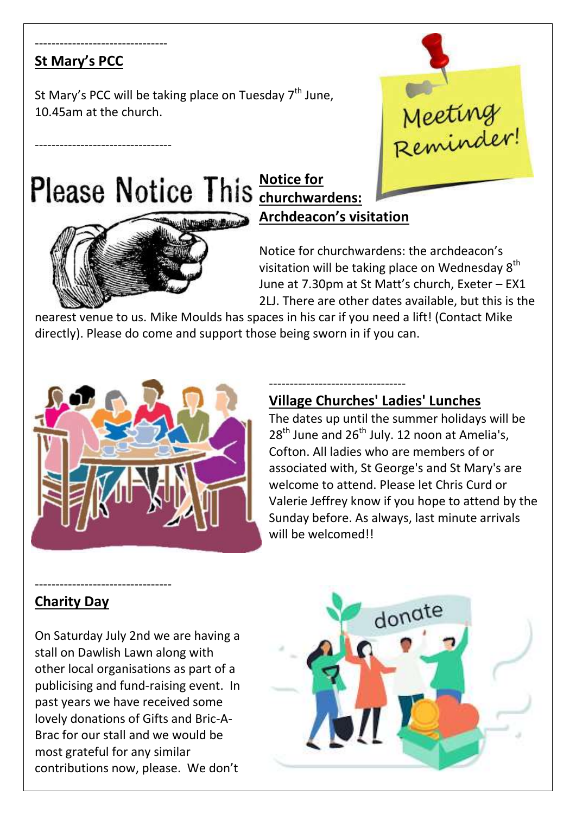#### -------------------------------- **St Mary's PCC**

---------------------------------

St Mary's PCC will be taking place on Tuesday  $7<sup>th</sup>$  June, 10.45am at the church.

# **Notice for**



# **churchwardens: Archdeacon's visitation**

Notice for churchwardens: the archdeacon's visitation will be taking place on Wednesday  $8<sup>th</sup>$ June at 7.30pm at St Matt's church, Exeter – EX1 2LJ. There are other dates available, but this is the

Meeting<br>Reminder!

nearest venue to us. Mike Moulds has spaces in his car if you need a lift! (Contact Mike directly). Please do come and support those being sworn in if you can.



#### **Village Churches' Ladies' Lunches**

---------------------------------

The dates up until the summer holidays will be  $28<sup>th</sup>$  June and  $26<sup>th</sup>$  July. 12 noon at Amelia's, Cofton. All ladies who are members of or associated with, St George's and St Mary's are welcome to attend. Please let Chris Curd or Valerie Jeffrey know if you hope to attend by the Sunday before. As always, last minute arrivals will be welcomed!!

#### **Charity Day**

---------------------------------

On Saturday July 2nd we are having a stall on Dawlish Lawn along with other local organisations as part of a publicising and fund-raising event. In past years we have received some lovely donations of Gifts and Bric-A-Brac for our stall and we would be most grateful for any similar contributions now, please. We don't